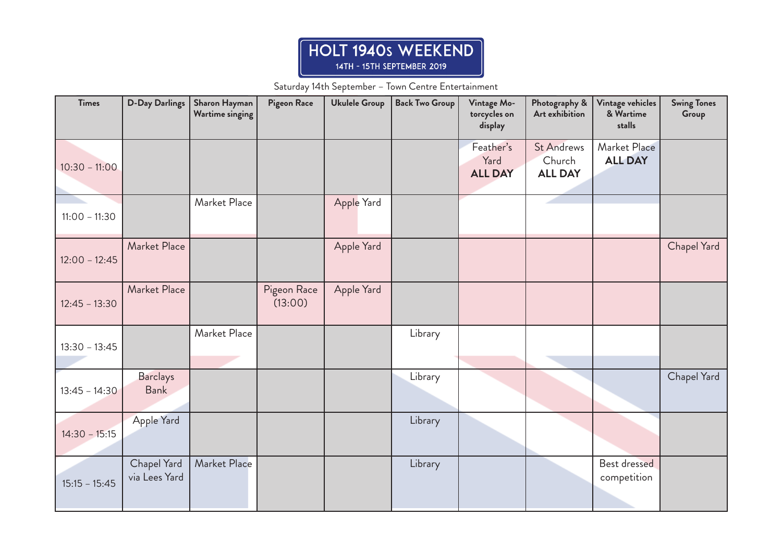## HOLT 1940s WEEKEND 14TH - 15TH SEPTEMBER 2019

Saturday 14th September – Town Centre Entertainment

| <b>Times</b>    | <b>D-Day Darlings</b>          | Sharon Hayman<br><b>Wartime singing</b> | Pigeon Race            | <b>Ukulele Group</b> | <b>Back Two Group</b> | Vintage Mo-<br>torcycles on<br>display | Photography &<br>Art exhibition               | Vintage vehicles<br>& Wartime<br>stalls | <b>Swing Tones</b><br>Group |
|-----------------|--------------------------------|-----------------------------------------|------------------------|----------------------|-----------------------|----------------------------------------|-----------------------------------------------|-----------------------------------------|-----------------------------|
| $10:30 - 11:00$ |                                |                                         |                        |                      |                       | Feather's<br>Yard<br><b>ALL DAY</b>    | <b>St Andrews</b><br>Church<br><b>ALL DAY</b> | Market Place<br><b>ALL DAY</b>          |                             |
| $11:00 - 11:30$ |                                | Market Place                            |                        | Apple Yard           |                       |                                        |                                               |                                         |                             |
| $12:00 - 12:45$ | Market Place                   |                                         |                        | Apple Yard           |                       |                                        |                                               |                                         | Chapel Yard                 |
| $12:45 - 13:30$ | Market Place                   |                                         | Pigeon Race<br>(13:00) | Apple Yard           |                       |                                        |                                               |                                         |                             |
| $13:30 - 13:45$ |                                | Market Place                            |                        |                      | Library               |                                        |                                               |                                         |                             |
| $13:45 - 14:30$ | <b>Barclays</b><br><b>Bank</b> |                                         |                        |                      | Library               |                                        |                                               |                                         | Chapel Yard                 |
| $14:30 - 15:15$ | Apple Yard                     |                                         |                        |                      | Library               |                                        |                                               |                                         |                             |
| $15:15 - 15:45$ | Chapel Yard<br>via Lees Yard   | Market Place                            |                        |                      | Library               |                                        |                                               | Best dressed<br>competition             |                             |